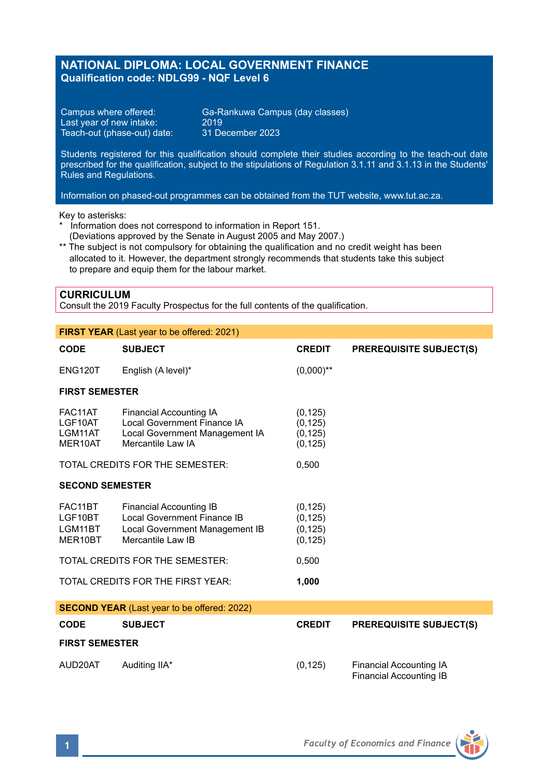# **NATIONAL DIPLOMA: LOCAL GOVERNMENT FINANCE Qualification code: NDLG99 - NQF Level 6**

Last year of new intake: 2019<br>Teach-out (phase-out) date: 31 December 2023 Teach-out (phase-out) date:

Campus where offered: Ga-Rankuwa Campus (day classes)<br>Last year of new intake: 2019

Students registered for this qualification should complete their studies according to the teach-out date prescribed for the qualification, subject to the stipulations of Regulation 3.1.11 and 3.1.13 in the Students' Rules and Regulations.

Information on phased-out programmes can be obtained from the TUT website, www.tut.ac.za.

Key to asterisks:

- \* Information does not correspond to information in Report 151. (Deviations approved by the Senate in August 2005 and May 2007.)
- \*\* The subject is not compulsory for obtaining the qualification and no credit weight has been allocated to it. However, the department strongly recommends that students take this subject to prepare and equip them for the labour market.

### **CURRICULUM**

Consult the 2019 Faculty Prospectus for the full contents of the qualification.

| <b>FIRST YEAR</b> (Last year to be offered: 2021)  |                                                                                                               |                                              |                                                    |  |  |
|----------------------------------------------------|---------------------------------------------------------------------------------------------------------------|----------------------------------------------|----------------------------------------------------|--|--|
| <b>CODE</b>                                        | <b>SUBJECT</b>                                                                                                | <b>CREDIT</b>                                | <b>PREREQUISITE SUBJECT(S)</b>                     |  |  |
| <b>ENG120T</b>                                     | English (A level)*                                                                                            | $(0,000)$ **                                 |                                                    |  |  |
| <b>FIRST SEMESTER</b>                              |                                                                                                               |                                              |                                                    |  |  |
| FAC11AT<br>LGF10AT<br>LGM11AT<br>MER10AT           | Financial Accounting IA<br>Local Government Finance IA<br>Local Government Management IA<br>Mercantile Law IA | (0, 125)<br>(0, 125)<br>(0, 125)<br>(0, 125) |                                                    |  |  |
|                                                    | TOTAL CREDITS FOR THE SEMESTER:                                                                               | 0,500                                        |                                                    |  |  |
| <b>SECOND SEMESTER</b>                             |                                                                                                               |                                              |                                                    |  |  |
| FAC11BT<br>LGF10BT<br>LGM11BT<br>MER10BT           | Financial Accounting IB<br>Local Government Finance IB<br>Local Government Management IB<br>Mercantile Law IB | (0, 125)<br>(0, 125)<br>(0, 125)<br>(0, 125) |                                                    |  |  |
| TOTAL CREDITS FOR THE SEMESTER:                    |                                                                                                               | 0,500                                        |                                                    |  |  |
| TOTAL CREDITS FOR THE FIRST YEAR:                  |                                                                                                               | 1,000                                        |                                                    |  |  |
| <b>SECOND YEAR</b> (Last year to be offered: 2022) |                                                                                                               |                                              |                                                    |  |  |
| <b>CODE</b>                                        | <b>SUBJECT</b>                                                                                                | <b>CREDIT</b>                                | <b>PREREQUISITE SUBJECT(S)</b>                     |  |  |
| <b>FIRST SEMESTER</b>                              |                                                                                                               |                                              |                                                    |  |  |
| AUD20AT                                            | Auditing IIA*                                                                                                 | (0, 125)                                     | Financial Accounting IA<br>Financial Accounting IB |  |  |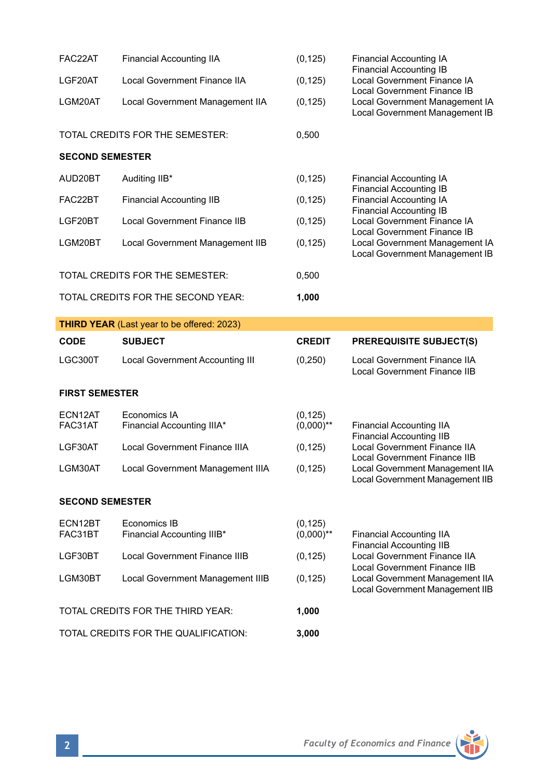| FAC22AT                         | <b>Financial Accounting IIA</b>                   | (0, 125)                 | Financial Accounting IA<br><b>Financial Accounting IB</b><br>Local Government Finance IA<br>Local Government Finance IB<br>Local Government Management IA<br>Local Government Management IB                                                                            |
|---------------------------------|---------------------------------------------------|--------------------------|------------------------------------------------------------------------------------------------------------------------------------------------------------------------------------------------------------------------------------------------------------------------|
| LGF20AT                         | <b>Local Government Finance IIA</b>               | (0, 125)                 |                                                                                                                                                                                                                                                                        |
| LGM20AT                         | Local Government Management IIA                   | (0, 125)                 |                                                                                                                                                                                                                                                                        |
|                                 | TOTAL CREDITS FOR THE SEMESTER:                   | 0,500                    |                                                                                                                                                                                                                                                                        |
| <b>SECOND SEMESTER</b>          |                                                   |                          |                                                                                                                                                                                                                                                                        |
| AUD20BT                         | Auditing IIB*                                     | (0, 125)                 | <b>Financial Accounting IA</b><br><b>Financial Accounting IB</b><br><b>Financial Accounting IA</b><br><b>Financial Accounting IB</b><br>Local Government Finance IA<br>Local Government Finance IB<br>Local Government Management IA<br>Local Government Management IB |
| FAC22BT                         | <b>Financial Accounting IIB</b>                   | (0, 125)                 |                                                                                                                                                                                                                                                                        |
| LGF20BT                         | <b>Local Government Finance IIB</b>               | (0, 125)                 |                                                                                                                                                                                                                                                                        |
| LGM20BT                         | Local Government Management IIB                   | (0, 125)                 |                                                                                                                                                                                                                                                                        |
| TOTAL CREDITS FOR THE SEMESTER: |                                                   | 0,500                    |                                                                                                                                                                                                                                                                        |
|                                 | TOTAL CREDITS FOR THE SECOND YEAR:                | 1,000                    |                                                                                                                                                                                                                                                                        |
|                                 | <b>THIRD YEAR</b> (Last year to be offered: 2023) |                          |                                                                                                                                                                                                                                                                        |
|                                 |                                                   |                          |                                                                                                                                                                                                                                                                        |
| CODE                            | <b>SUBJECT</b>                                    | <b>CREDIT</b>            | <b>PREREQUISITE SUBJECT(S)</b>                                                                                                                                                                                                                                         |
| LGC300T                         | <b>Local Government Accounting III</b>            | (0, 250)                 | <b>Local Government Finance IIA</b><br><b>Local Government Finance IIB</b>                                                                                                                                                                                             |
| <b>FIRST SEMESTER</b>           |                                                   |                          |                                                                                                                                                                                                                                                                        |
| ECN12AT<br>FAC31AT              | Economics IA<br>Financial Accounting IIIA*        | (0, 125)<br>$(0,000)$ ** | <b>Financial Accounting IIA</b>                                                                                                                                                                                                                                        |
| LGF30AT                         | Local Government Finance IIIA                     | (0, 125)                 | <b>Financial Accounting IIB</b><br><b>Local Government Finance IIA</b>                                                                                                                                                                                                 |
| LGM30AT                         | Local Government Management IIIA                  | (0, 125)                 | <b>Local Government Finance IIB</b><br>Local Government Management IIA<br>Local Government Management IIB                                                                                                                                                              |
| <b>SECOND SEMESTER</b>          |                                                   |                          |                                                                                                                                                                                                                                                                        |
| ECN12BT<br>FAC31BT              | Economics IB<br>Financial Accounting IIIB*        | (0, 125)<br>$(0,000)$ ** | <b>Financial Accounting IIA</b>                                                                                                                                                                                                                                        |
| LGF30BT                         | <b>Local Government Finance IIIB</b>              | (0, 125)                 | <b>Financial Accounting IIB</b><br><b>Local Government Finance IIA</b>                                                                                                                                                                                                 |
| LGM30BT                         | Local Government Management IIIB                  | (0, 125)                 | <b>Local Government Finance IIB</b><br>Local Government Management IIA<br>Local Government Management IIB                                                                                                                                                              |
|                                 | TOTAL CREDITS FOR THE THIRD YEAR:                 | 1,000                    |                                                                                                                                                                                                                                                                        |

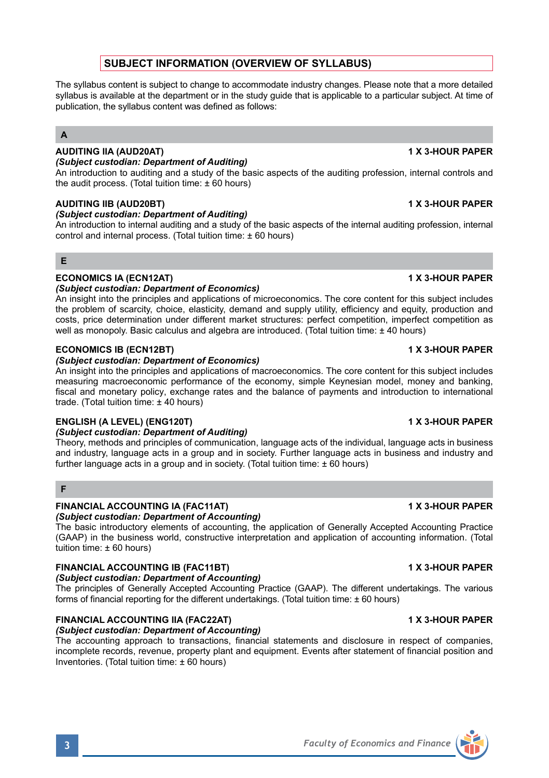# **SUBJECT INFORMATION (OVERVIEW OF SYLLABUS)**

The syllabus content is subject to change to accommodate industry changes. Please note that a more detailed syllabus is available at the department or in the study guide that is applicable to a particular subject. At time of publication, the syllabus content was defined as follows:

# **A**

## **AUDITING IIA (AUD20AT) 1 X 3-HOUR PAPER**

*(Subject custodian: Department of Auditing)*

An introduction to auditing and a study of the basic aspects of the auditing profession, internal controls and the audit process. (Total tuition time:  $\pm 60$  hours)

### **AUDITING IIB (AUD20BT) 1 X 3-HOUR PAPER**

*(Subject custodian: Department of Auditing)*

An introduction to internal auditing and a study of the basic aspects of the internal auditing profession, internal control and internal process. (Total tuition time: ± 60 hours)

# **E**

# **ECONOMICS IA (ECN12AT) 1 X 3-HOUR PAPER**

### *(Subject custodian: Department of Economics)*

An insight into the principles and applications of microeconomics. The core content for this subject includes the problem of scarcity, choice, elasticity, demand and supply utility, efficiency and equity, production and costs, price determination under different market structures: perfect competition, imperfect competition as well as monopoly. Basic calculus and algebra are introduced. (Total tuition time: ± 40 hours)

### **ECONOMICS IB (ECN12BT) 1 X 3-HOUR PAPER**

### *(Subject custodian: Department of Economics)*

An insight into the principles and applications of macroeconomics. The core content for this subject includes measuring macroeconomic performance of the economy, simple Keynesian model, money and banking, fiscal and monetary policy, exchange rates and the balance of payments and introduction to international trade. (Total tuition time: ± 40 hours)

### **ENGLISH (A LEVEL) (ENG120T) 1 X 3-HOUR PAPER**

### *(Subject custodian: Department of Auditing)*

Theory, methods and principles of communication, language acts of the individual, language acts in business and industry, language acts in a group and in society. Further language acts in business and industry and further language acts in a group and in society. (Total tuition time:  $\pm$  60 hours)

## **F**

## **FINANCIAL ACCOUNTING IA (FAC11AT) 1 X 3-HOUR PAPER**

*(Subject custodian: Department of Accounting)*

The basic introductory elements of accounting, the application of Generally Accepted Accounting Practice (GAAP) in the business world, constructive interpretation and application of accounting information. (Total tuition time: ± 60 hours)

# **FINANCIAL ACCOUNTING IB (FAC11BT) 1 X 3-HOUR PAPER**

# *(Subject custodian: Department of Accounting)*

The principles of Generally Accepted Accounting Practice (GAAP). The different undertakings. The various forms of financial reporting for the different undertakings. (Total tuition time: ± 60 hours)

# **FINANCIAL ACCOUNTING IIA (FAC22AT) 1 X 3-HOUR PAPER**

# *(Subject custodian: Department of Accounting)*

The accounting approach to transactions, financial statements and disclosure in respect of companies, incomplete records, revenue, property plant and equipment. Events after statement of financial position and Inventories. (Total tuition time: ± 60 hours)

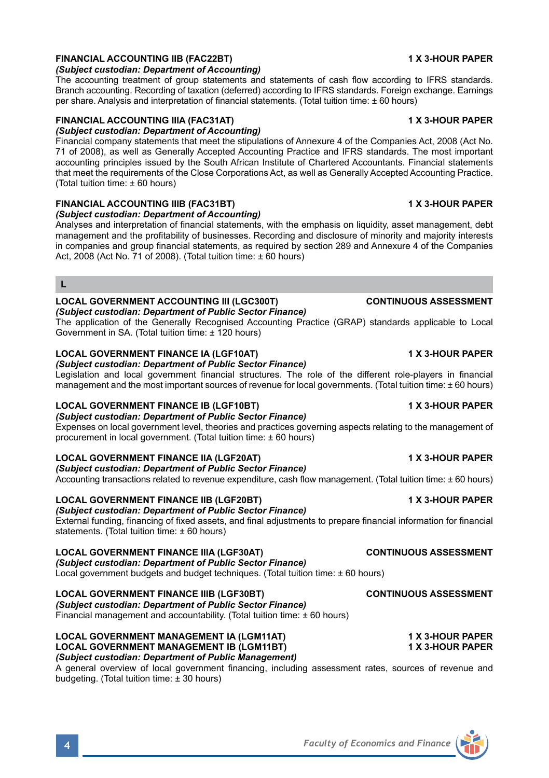# **FINANCIAL ACCOUNTING IIB (FAC22BT) 1 X 3-HOUR PAPER**

### *(Subject custodian: Department of Accounting)*

The accounting treatment of group statements and statements of cash flow according to IFRS standards. Branch accounting. Recording of taxation (deferred) according to IFRS standards. Foreign exchange. Earnings per share. Analysis and interpretation of financial statements. (Total tuition time: ± 60 hours)

## **FINANCIAL ACCOUNTING IIIA (FAC31AT) 1 X 3-HOUR PAPER**

### *(Subject custodian: Department of Accounting)*

Financial company statements that meet the stipulations of Annexure 4 of the Companies Act, 2008 (Act No. 71 of 2008), as well as Generally Accepted Accounting Practice and IFRS standards. The most important accounting principles issued by the South African Institute of Chartered Accountants. Financial statements that meet the requirements of the Close Corporations Act, as well as Generally Accepted Accounting Practice. (Total tuition time: ± 60 hours)

## **FINANCIAL ACCOUNTING IIIB (FAC31BT) 1 X 3-HOUR PAPER**

*(Subject custodian: Department of Accounting)* Analyses and interpretation of financial statements, with the emphasis on liquidity, asset management, debt management and the profitability of businesses. Recording and disclosure of minority and majority interests in companies and group financial statements, as required by section 289 and Annexure 4 of the Companies Act, 2008 (Act No. 71 of 2008). (Total tuition time: ± 60 hours)

### **L**

## **LOCAL GOVERNMENT ACCOUNTING III (LGC300T) CONTINUOUS ASSESSMENT**

*(Subject custodian: Department of Public Sector Finance)*

The application of the Generally Recognised Accounting Practice (GRAP) standards applicable to Local Government in SA. (Total tuition time: ± 120 hours)

# **LOCAL GOVERNMENT FINANCE IA (LGF10AT) 1 X 3-HOUR PAPER**

### *(Subject custodian: Department of Public Sector Finance)*

Legislation and local government financial structures. The role of the different role-players in financial management and the most important sources of revenue for local governments. (Total tuition time: ± 60 hours)

### **LOCAL GOVERNMENT FINANCE IB (LGF10BT) 1 X 3-HOUR PAPER**

*(Subject custodian: Department of Public Sector Finance)*

Expenses on local government level, theories and practices governing aspects relating to the management of procurement in local government. (Total tuition time: ± 60 hours)

### **LOCAL GOVERNMENT FINANCE IIA (LGF20AT) 1 X 3-HOUR PAPER**

*(Subject custodian: Department of Public Sector Finance)* Accounting transactions related to revenue expenditure, cash flow management. (Total tuition time: ± 60 hours)

### **LOCAL GOVERNMENT FINANCE IIB (LGF20BT) 1 X 3-HOUR PAPER**

### *(Subject custodian: Department of Public Sector Finance)*

External funding, financing of fixed assets, and final adjustments to prepare financial information for financial statements. (Total tuition time: ± 60 hours)

## **LOCAL GOVERNMENT FINANCE IIIA (LGF30AT) CONTINUOUS ASSESSMENT**

*(Subject custodian: Department of Public Sector Finance)* Local government budgets and budget techniques. (Total tuition time: ± 60 hours)

### **LOCAL GOVERNMENT FINANCE IIIB (LGF30BT) CONTINUOUS ASSESSMENT**

*(Subject custodian: Department of Public Sector Finance)* Financial management and accountability. (Total tuition time:  $\pm$  60 hours)

### **LOCAL GOVERNMENT MANAGEMENT IA (LGM11AT) 1 X 3-HOUR PAPER LOCAL GOVERNMENT MANAGEMENT IB (LGM11BT)** *(Subject custodian: Department of Public Management)*

A general overview of local government financing, including assessment rates, sources of revenue and budgeting. (Total tuition time: ± 30 hours)